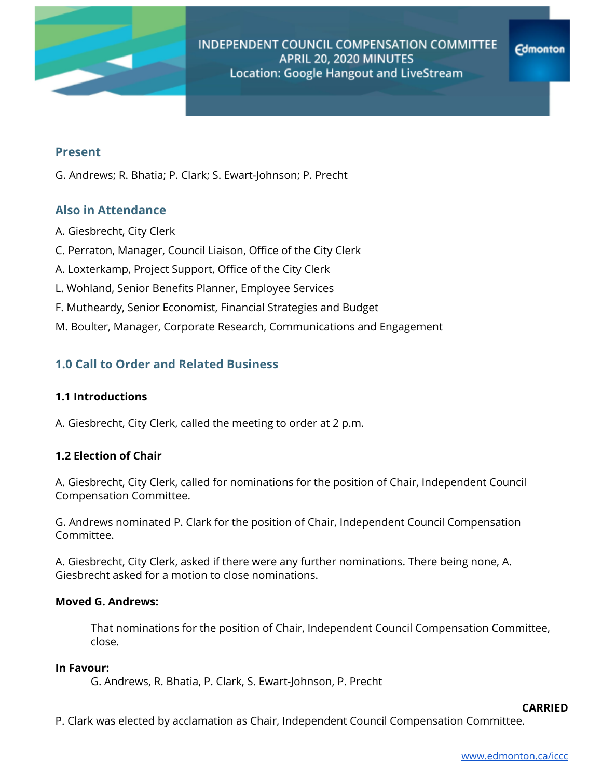

# **Present**

G. Andrews; R. Bhatia; P. Clark; S. Ewart-Johnson; P. Precht

# **Also in Attendance**

- A. Giesbrecht, City Clerk
- C. Perraton, Manager, Council Liaison, Office of the City Clerk
- A. Loxterkamp, Project Support, Office of the City Clerk
- L. Wohland, Senior Benefits Planner, Employee Services
- F. Mutheardy, Senior Economist, Financial Strategies and Budget
- M. Boulter, Manager, Corporate Research, Communications and Engagement

# **1.0 Call to Order and Related Business**

# **1.1 Introductions**

A. Giesbrecht, City Clerk, called the meeting to order at 2 p.m.

# **1.2 Election of Chair**

A. Giesbrecht, City Clerk, called for nominations for the position of Chair, Independent Council Compensation Committee.

G. Andrews nominated P. Clark for the position of Chair, Independent Council Compensation Committee.

A. Giesbrecht, City Clerk, asked if there were any further nominations. There being none, A. Giesbrecht asked for a motion to close nominations.

# **Moved G. Andrews:**

That nominations for the position of Chair, Independent Council Compensation Committee, close.

### **In Favour:**

G. Andrews, R. Bhatia, P. Clark, S. Ewart-Johnson, P. Precht

## **CARRIED**

P. Clark was elected by acclamation as Chair, Independent Council Compensation Committee.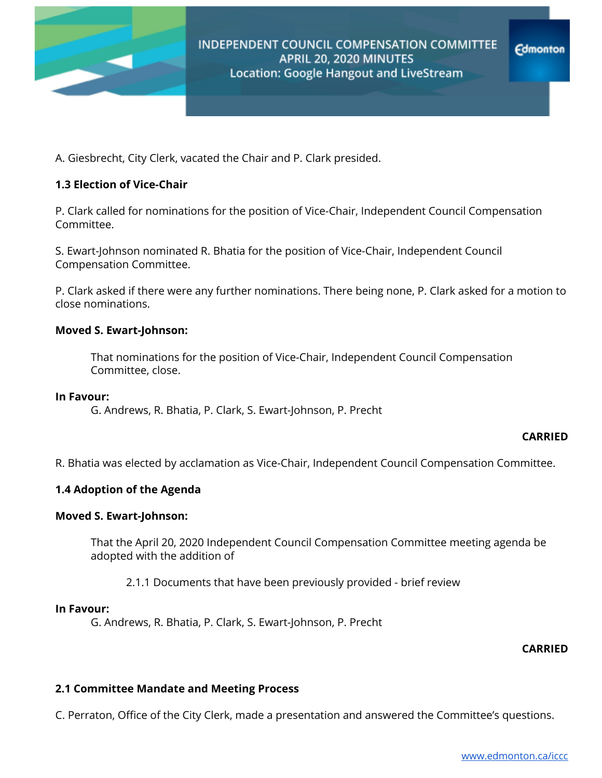

**Edmonton** 

A. Giesbrecht, City Clerk, vacated the Chair and P. Clark presided.

# **1.3 Election of Vice-Chair**

P. Clark called for nominations for the position of Vice-Chair, Independent Council Compensation Committee.

S. Ewart-Johnson nominated R. Bhatia for the position of Vice-Chair, Independent Council Compensation Committee.

P. Clark asked if there were any further nominations. There being none, P. Clark asked for a motion to close nominations.

## **Moved S. Ewart-Johnson:**

That nominations for the position of Vice-Chair, Independent Council Compensation Committee, close.

### **In Favour:**

G. Andrews, R. Bhatia, P. Clark, S. Ewart-Johnson, P. Precht

### **CARRIED**

R. Bhatia was elected by acclamation as Vice-Chair, Independent Council Compensation Committee.

### **1.4 Adoption of the Agenda**

### **Moved S. Ewart-Johnson:**

That the April 20, 2020 Independent Council Compensation Committee meeting agenda be adopted with the addition of

2.1.1 Documents that have been previously provided - brief review

#### **In Favour:**

G. Andrews, R. Bhatia, P. Clark, S. Ewart-Johnson, P. Precht

# **CARRIED**

### **2.1 Committee Mandate and Meeting Process**

C. Perraton, Office of the City Clerk, made a presentation and answered the Committee's questions.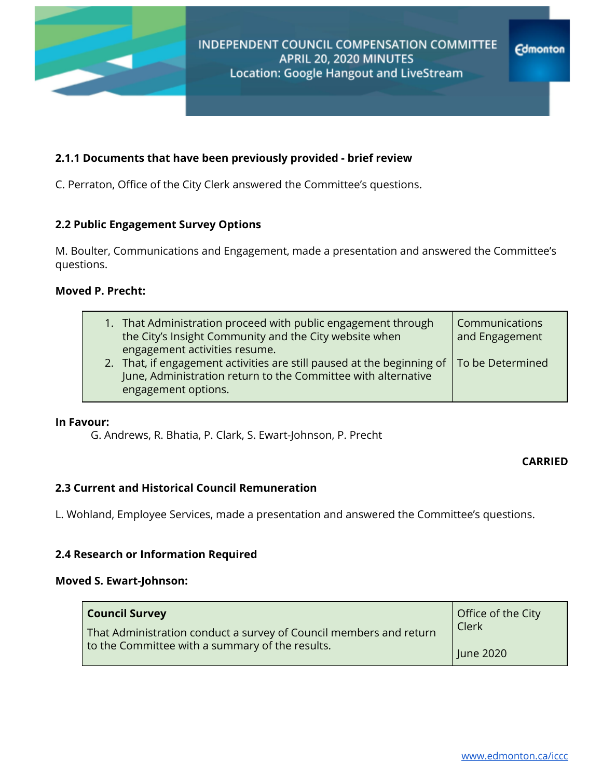

# **2.1.1 Documents that have been previously provided - brief review**

C. Perraton, Office of the City Clerk answered the Committee's questions.

# **2.2 Public Engagement Survey Options**

M. Boulter, Communications and Engagement, made a presentation and answered the Committee's questions.

# **Moved P. Precht:**

| 1. That Administration proceed with public engagement through<br>the City's Insight Community and the City website when<br>engagement activities resume.                          | Communications<br>and Engagement |
|-----------------------------------------------------------------------------------------------------------------------------------------------------------------------------------|----------------------------------|
| 2. That, if engagement activities are still paused at the beginning of   To be Determined<br>June, Administration return to the Committee with alternative<br>engagement options. |                                  |

### **In Favour:**

G. Andrews, R. Bhatia, P. Clark, S. Ewart-Johnson, P. Precht

### **CARRIED**

# **2.3 Current and Historical Council Remuneration**

L. Wohland, Employee Services, made a presentation and answered the Committee's questions.

# **2.4 Research or Information Required**

### **Moved S. Ewart-Johnson:**

| <b>Council Survey</b>                                              | Office of the City |
|--------------------------------------------------------------------|--------------------|
| That Administration conduct a survey of Council members and return | Clerk              |
| to the Committee with a summary of the results.                    | June 2020          |